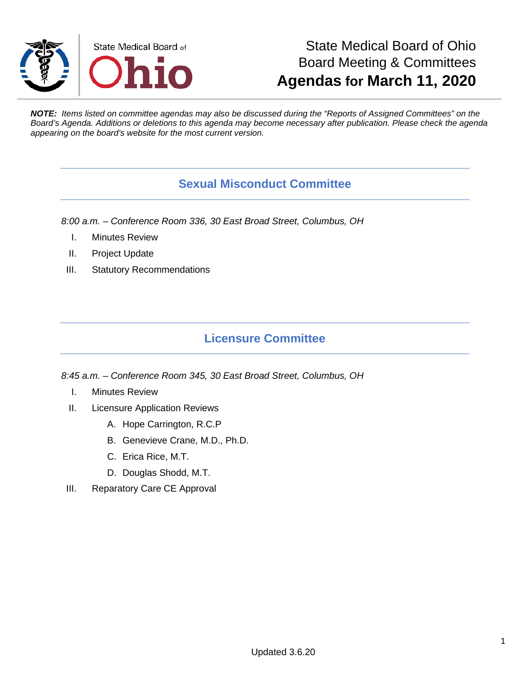

# State Medical Board of Ohio Board Meeting & Committees **Agendas for March 11, 2020**

*NOTE: Items listed on committee agendas may also be discussed during the "Reports of Assigned Committees" on the Board's Agenda. Additions or deletions to this agenda may become necessary after publication. Please check the agenda appearing on the board's website for the most current version.*

### **Sexual Misconduct Committee**

*8:00 a.m. – Conference Room 336, 30 East Broad Street, Columbus, OH*

- I. Minutes Review
- II. Project Update
- III. Statutory Recommendations

## **Licensure Committee**

*8:45 a.m. – Conference Room 345, 30 East Broad Street, Columbus, OH*

- I. Minutes Review
- II. Licensure Application Reviews
	- A. Hope Carrington, R.C.P
	- B. Genevieve Crane, M.D., Ph.D.
	- C. Erica Rice, M.T.
	- D. Douglas Shodd, M.T.
- III. Reparatory Care CE Approval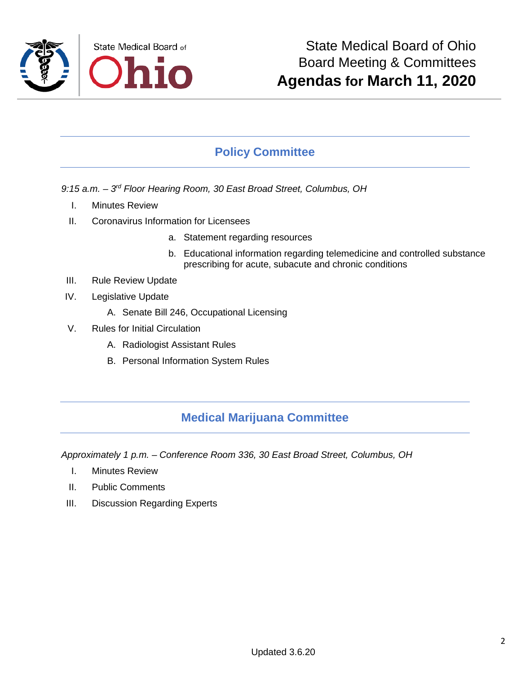

## **Policy Committee**

- *9:15 a.m. – 3rd Floor Hearing Room, 30 East Broad Street, Columbus, OH*
	- I. Minutes Review
	- II. Coronavirus Information for Licensees
		- a. Statement regarding resources
		- b. Educational information regarding telemedicine and controlled substance prescribing for acute, subacute and chronic conditions
	- III. Rule Review Update
- IV. Legislative Update
	- A. Senate Bill 246, Occupational Licensing
- V. Rules for Initial Circulation
	- A. Radiologist Assistant Rules
	- B. Personal Information System Rules

#### **Medical Marijuana Committee**

*Approximately 1 p.m. – Conference Room 336, 30 East Broad Street, Columbus, OH*

- I. Minutes Review
- II. Public Comments
- III. Discussion Regarding Experts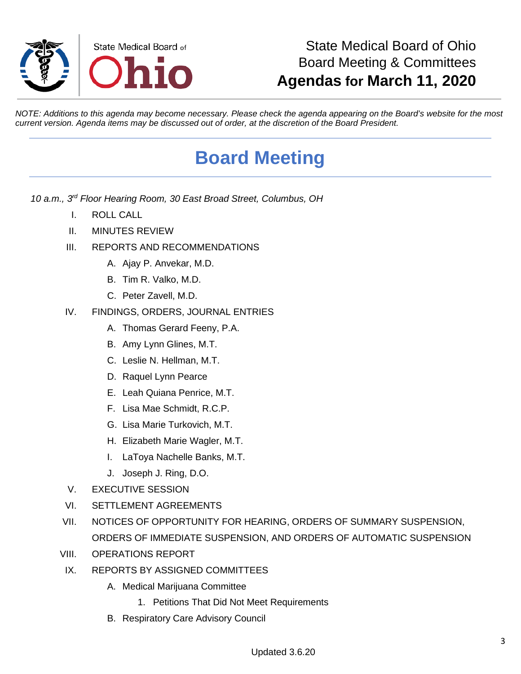

# State Medical Board of Ohio Board Meeting & Committees **Agendas for March 11, 2020**

*NOTE: Additions to this agenda may become necessary. Please check the agenda appearing on the Board's website for the most current version. Agenda items may be discussed out of order, at the discretion of the Board President.*

# **Board Meeting**

- *10 a.m., 3rd Floor Hearing Room, 30 East Broad Street, Columbus, OH*
	- I. ROLL CALL
	- II. MINUTES REVIEW
	- III. REPORTS AND RECOMMENDATIONS
		- A. Ajay P. Anvekar, M.D.
		- B. Tim R. Valko, M.D.
		- C. Peter Zavell, M.D.
	- IV. FINDINGS, ORDERS, JOURNAL ENTRIES
		- A. Thomas Gerard Feeny, P.A.
		- B. Amy Lynn Glines, M.T.
		- C. Leslie N. Hellman, M.T.
		- D. Raquel Lynn Pearce
		- E. Leah Quiana Penrice, M.T.
		- F. Lisa Mae Schmidt, R.C.P.
		- G. Lisa Marie Turkovich, M.T.
		- H. Elizabeth Marie Wagler, M.T.
		- I. LaToya Nachelle Banks, M.T.
		- J. Joseph J. Ring, D.O.
	- V. EXECUTIVE SESSION
	- VI. SETTLEMENT AGREEMENTS
	- VII. NOTICES OF OPPORTUNITY FOR HEARING, ORDERS OF SUMMARY SUSPENSION, ORDERS OF IMMEDIATE SUSPENSION, AND ORDERS OF AUTOMATIC SUSPENSION
	- VIII. OPERATIONS REPORT
	- IX. REPORTS BY ASSIGNED COMMITTEES
		- A. Medical Marijuana Committee
			- 1. Petitions That Did Not Meet Requirements
		- B. Respiratory Care Advisory Council